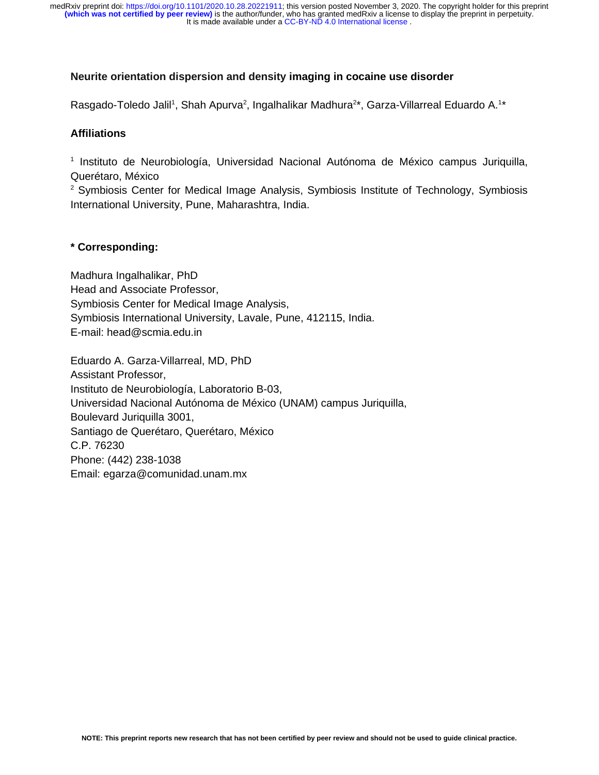# **Neurite orientation dispersion and density imaging in cocaine use disorder**

Rasgado-Toledo Jalil<sup>1</sup>, Shah Apurva<sup>2</sup>, Ingalhalikar Madhura<sup>2\*</sup>, Garza-Villarreal Eduardo A.<sup>1\*</sup>

# **Affiliations**

<sup>1</sup> Instituto de Neurobiología, Universidad Nacional Autónoma de México campus Juriquilla, Querétaro, México

<sup>2</sup> Symbiosis Center for Medical Image Analysis, Symbiosis Institute of Technology, Symbiosis International University, Pune, Maharashtra, India.

# **\* Corresponding:**

Madhura Ingalhalikar, PhD Head and Associate Professor, Symbiosis Center for Medical Image Analysis, Symbiosis International University, Lavale, Pune, 412115, India. E-mail: head@scmia.edu.in

Eduardo A. Garza-Villarreal, MD, PhD Assistant Professor, Instituto de Neurobiología, Laboratorio B-03, Universidad Nacional Autónoma de México (UNAM) campus Juriquilla, Boulevard Juriquilla 3001, Santiago de Querétaro, Querétaro, México C.P. 76230 Phone: (442) 238-1038 Email: egarza@comunidad.unam.mx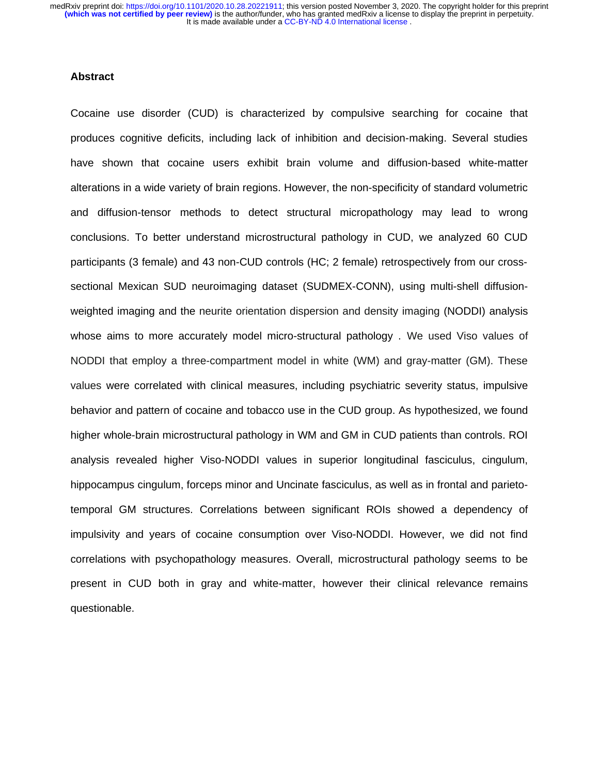## **Abstract**

Cocaine use disorder (CUD) is characterized by compulsive searching for cocaine that produces cognitive deficits, including lack of inhibition and decision-making. Several studies have shown that cocaine users exhibit brain volume and diffusion-based white-matter alterations in a wide variety of brain regions. However, the non-specificity of standard volumetric and diffusion-tensor methods to detect structural micropathology may lead to wrong conclusions. To better understand microstructural pathology in CUD, we analyzed 60 CUD participants (3 female) and 43 non-CUD controls (HC; 2 female) retrospectively from our crosssectional Mexican SUD neuroimaging dataset (SUDMEX-CONN), using multi-shell diffusionweighted imaging and the neurite orientation dispersion and density imaging (NODDI) analysis whose aims to more accurately model micro-structural pathology . We used Viso values of NODDI that employ a three-compartment model in white (WM) and gray-matter (GM). These values were correlated with clinical measures, including psychiatric severity status, impulsive behavior and pattern of cocaine and tobacco use in the CUD group. As hypothesized, we found higher whole-brain microstructural pathology in WM and GM in CUD patients than controls. ROI analysis revealed higher Viso-NODDI values in superior longitudinal fasciculus, cingulum, hippocampus cingulum, forceps minor and Uncinate fasciculus, as well as in frontal and parietotemporal GM structures. Correlations between significant ROIs showed a dependency of impulsivity and years of cocaine consumption over Viso-NODDI. However, we did not find correlations with psychopathology measures. Overall, microstructural pathology seems to be present in CUD both in gray and white-matter, however their clinical relevance remains questionable.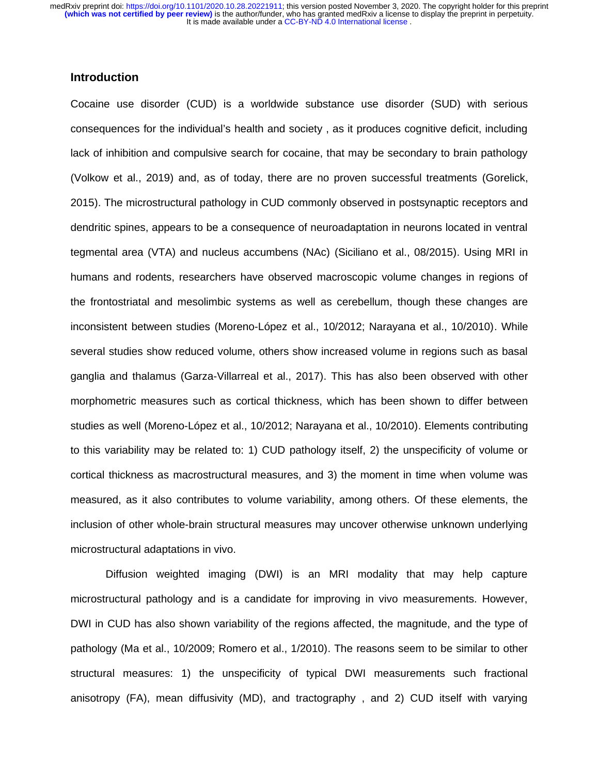# **Introduction**

Cocaine use disorder (CUD) is a worldwide substance use disorder (SUD) with serious consequences for the individual's health and society , as it produces cognitive deficit, including lack of inhibition and compulsive search for cocaine, that may be secondary to brain pathology (Volkow et al., 2019) and, as of today, there are no proven successful treatments (Gorelick, 2015). The microstructural pathology in CUD commonly observed in postsynaptic receptors and dendritic spines, appears to be a consequence of neuroadaptation in neurons located in ventral tegmental area (VTA) and nucleus accumbens (NAc) (Siciliano et al., 08/2015). Using MRI in humans and rodents, researchers have observed macroscopic volume changes in regions of the frontostriatal and mesolimbic systems as well as cerebellum, though these changes are inconsistent between studies (Moreno-López et al., 10/2012; Narayana et al., 10/2010). While several studies show reduced volume, others show increased volume in regions such as basal ganglia and thalamus (Garza-Villarreal et al., 2017). This has also been observed with other morphometric measures such as cortical thickness, which has been shown to differ between studies as well (Moreno-López et al., 10/2012; Narayana et al., 10/2010). Elements contributing to this variability may be related to: 1) CUD pathology itself, 2) the unspecificity of volume or cortical thickness as macrostructural measures, and 3) the moment in time when volume was measured, as it also contributes to volume variability, among others. Of these elements, the inclusion of other whole-brain structural measures may uncover otherwise unknown underlying microstructural adaptations in vivo.

Diffusion weighted imaging (DWI) is an MRI modality that may help capture microstructural pathology and is a candidate for improving in vivo measurements. However, DWI in CUD has also shown variability of the regions affected, the magnitude, and the type of pathology (Ma et al., 10/2009; Romero et al., 1/2010). The reasons seem to be similar to other structural measures: 1) the unspecificity of typical DWI measurements such fractional anisotropy (FA), mean diffusivity (MD), and tractography , and 2) CUD itself with varying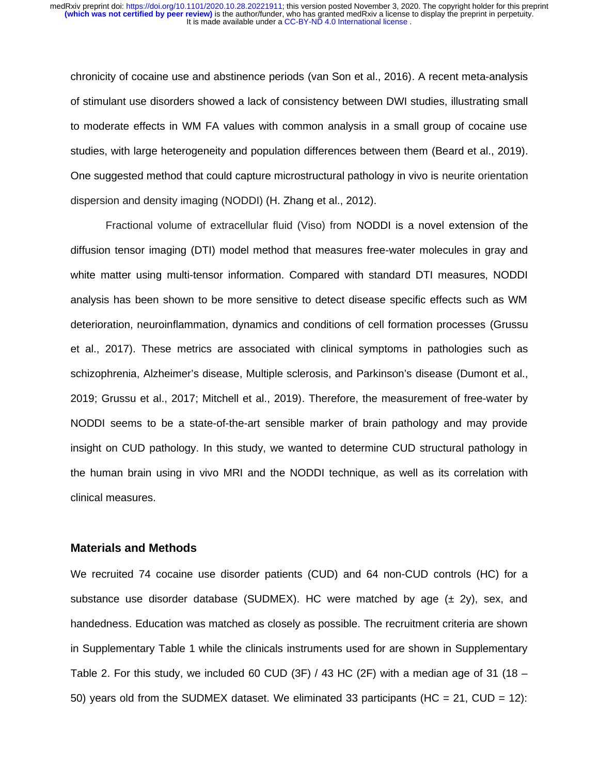chronicity of cocaine use and abstinence periods (van Son et al., 2016). A recent meta-analysis of stimulant use disorders showed a lack of consistency between DWI studies, illustrating small to moderate effects in WM FA values with common analysis in a small group of cocaine use studies, with large heterogeneity and population differences between them (Beard et al., 2019). One suggested method that could capture microstructural pathology in vivo is neurite orientation dispersion and density imaging (NODDI) (H. Zhang et al., 2012).

Fractional volume of extracellular fluid (Viso) from NODDI is a novel extension of the diffusion tensor imaging (DTI) model method that measures free-water molecules in gray and white matter using multi-tensor information. Compared with standard DTI measures, NODDI analysis has been shown to be more sensitive to detect disease specific effects such as WM deterioration, neuroinflammation, dynamics and conditions of cell formation processes (Grussu et al., 2017). These metrics are associated with clinical symptoms in pathologies such as schizophrenia, Alzheimer's disease, Multiple sclerosis, and Parkinson's disease (Dumont et al., 2019; Grussu et al., 2017; Mitchell et al., 2019). Therefore, the measurement of free-water by NODDI seems to be a state-of-the-art sensible marker of brain pathology and may provide insight on CUD pathology. In this study, we wanted to determine CUD structural pathology in the human brain using in vivo MRI and the NODDI technique, as well as its correlation with clinical measures.

## **Materials and Methods**

We recruited 74 cocaine use disorder patients (CUD) and 64 non-CUD controls (HC) for a substance use disorder database (SUDMEX). HC were matched by age  $(\pm 2y)$ , sex, and handedness. Education was matched as closely as possible. The recruitment criteria are shown in Supplementary Table 1 while the clinicals instruments used for are shown in Supplementary Table 2. For this study, we included 60 CUD (3F)  $/$  43 HC (2F) with a median age of 31 (18 – 50) years old from the SUDMEX dataset. We eliminated 33 participants (HC = 21, CUD = 12):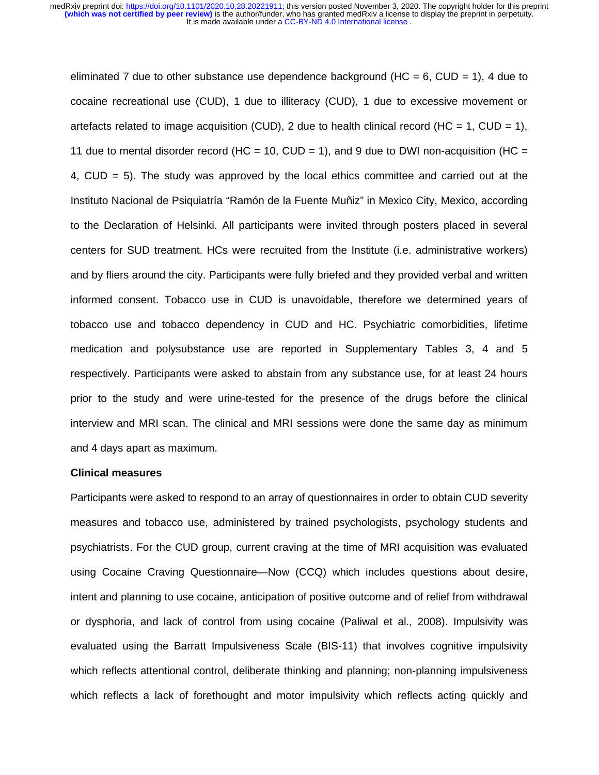eliminated 7 due to other substance use dependence background ( $HC = 6$ ,  $CUD = 1$ ), 4 due to cocaine recreational use (CUD), 1 due to illiteracy (CUD), 1 due to excessive movement or artefacts related to image acquisition (CUD), 2 due to health clinical record (HC = 1, CUD = 1), 11 due to mental disorder record (HC = 10, CUD = 1), and 9 due to DWI non-acquisition (HC = 4, CUD = 5). The study was approved by the local ethics committee and carried out at the Instituto Nacional de Psiquiatría "Ramón de la Fuente Muñiz" in Mexico City, Mexico, according to the Declaration of Helsinki. All participants were invited through posters placed in several centers for SUD treatment. HCs were recruited from the Institute (i.e. administrative workers) and by fliers around the city. Participants were fully briefed and they provided verbal and written informed consent. Tobacco use in CUD is unavoidable, therefore we determined years of tobacco use and tobacco dependency in CUD and HC. Psychiatric comorbidities, lifetime medication and polysubstance use are reported in Supplementary Tables 3, 4 and 5 respectively. Participants were asked to abstain from any substance use, for at least 24 hours prior to the study and were urine-tested for the presence of the drugs before the clinical interview and MRI scan. The clinical and MRI sessions were done the same day as minimum and 4 days apart as maximum.

#### **Clinical measures**

Participants were asked to respond to an array of questionnaires in order to obtain CUD severity measures and tobacco use, administered by trained psychologists, psychology students and psychiatrists. For the CUD group, current craving at the time of MRI acquisition was evaluated using Cocaine Craving Questionnaire—Now (CCQ) which includes questions about desire, intent and planning to use cocaine, anticipation of positive outcome and of relief from withdrawal or dysphoria, and lack of control from using cocaine (Paliwal et al., 2008). Impulsivity was evaluated using the Barratt Impulsiveness Scale (BIS-11) that involves cognitive impulsivity which reflects attentional control, deliberate thinking and planning; non-planning impulsiveness which reflects a lack of forethought and motor impulsivity which reflects acting quickly and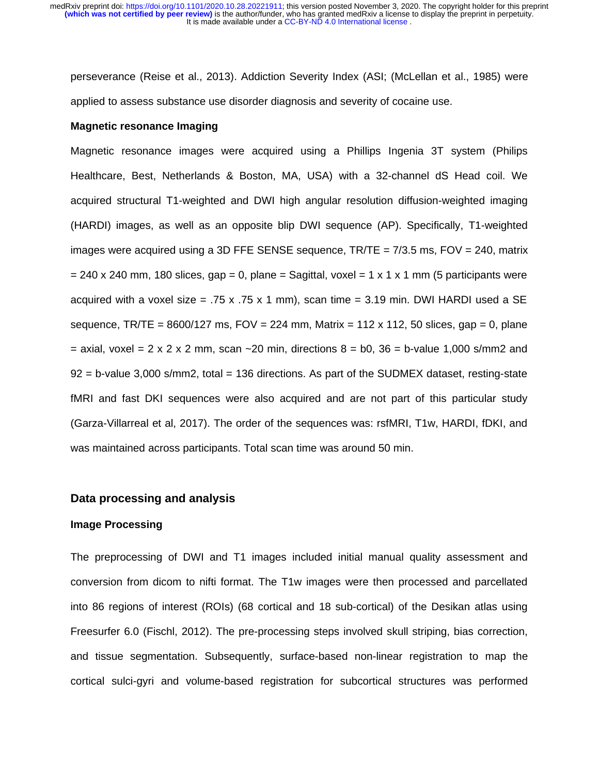perseverance (Reise et al., 2013). Addiction Severity Index (ASI; (McLellan et al., 1985) were applied to assess substance use disorder diagnosis and severity of cocaine use.

#### **Magnetic resonance Imaging**

Magnetic resonance images were acquired using a Phillips Ingenia 3T system (Philips Healthcare, Best, Netherlands & Boston, MA, USA) with a 32-channel dS Head coil. We acquired structural T1-weighted and DWI high angular resolution diffusion-weighted imaging (HARDI) images, as well as an opposite blip DWI sequence (AP). Specifically, T1-weighted images were acquired using a 3D FFE SENSE sequence, TR/TE = 7/3.5 ms, FOV = 240, matrix  $= 240 \times 240$  mm, 180 slices, gap = 0, plane = Sagittal, voxel = 1 x 1 x 1 mm (5 participants were acquired with a voxel size = .75 x .75 x 1 mm), scan time = 3.19 min. DWI HARDI used a SE sequence, TR/TE =  $8600/127$  ms, FOV = 224 mm, Matrix = 112 x 112, 50 slices, gap = 0, plane  $=$  axial, voxel  $= 2 \times 2 \times 2$  mm, scan  $\sim$  20 min, directions  $8 =$  b0, 36  $=$  b-value 1,000 s/mm2 and 92 = b-value 3,000 s/mm2, total = 136 directions. As part of the SUDMEX dataset, resting-state fMRI and fast DKI sequences were also acquired and are not part of this particular study (Garza-Villarreal et al, 2017). The order of the sequences was: rsfMRI, T1w, HARDI, fDKI, and was maintained across participants. Total scan time was around 50 min.

## **Data processing and analysis**

## **Image Processing**

The preprocessing of DWI and T1 images included initial manual quality assessment and conversion from dicom to nifti format. The T1w images were then processed and parcellated into 86 regions of interest (ROIs) (68 cortical and 18 sub-cortical) of the Desikan atlas using Freesurfer 6.0 (Fischl, 2012). The pre-processing steps involved skull striping, bias correction, and tissue segmentation. Subsequently, surface-based non-linear registration to map the cortical sulci-gyri and volume-based registration for subcortical structures was performed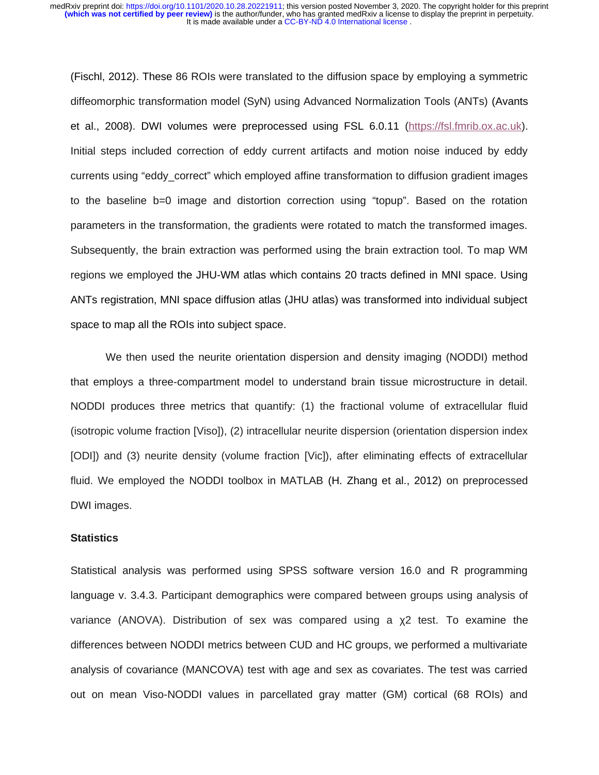(Fischl, 2012). These 86 ROIs were translated to the diffusion space by employing a symmetric diffeomorphic transformation model (SyN) using Advanced Normalization Tools (ANTs) (Avants et al., 2008). DWI volumes were preprocessed using FSL 6.0.11 (https://fsl.fmrib.ox.ac.uk). Initial steps included correction of eddy current artifacts and motion noise induced by eddy currents using "eddy\_correct" which employed affine transformation to diffusion gradient images to the baseline b=0 image and distortion correction using "topup". Based on the rotation parameters in the transformation, the gradients were rotated to match the transformed images. Subsequently, the brain extraction was performed using the brain extraction tool. To map WM regions we employed the JHU-WM atlas which contains 20 tracts defined in MNI space. Using ANTs registration, MNI space diffusion atlas (JHU atlas) was transformed into individual subject space to map all the ROIs into subject space.

We then used the neurite orientation dispersion and density imaging (NODDI) method that employs a three-compartment model to understand brain tissue microstructure in detail. NODDI produces three metrics that quantify: (1) the fractional volume of extracellular fluid (isotropic volume fraction [Viso]), (2) intracellular neurite dispersion (orientation dispersion index [ODI]) and (3) neurite density (volume fraction [Vic]), after eliminating effects of extracellular fluid. We employed the NODDI toolbox in MATLAB (H. Zhang et al., 2012) on preprocessed DWI images.

# **Statistics**

Statistical analysis was performed using SPSS software version 16.0 and R programming language v. 3.4.3. Participant demographics were compared between groups using analysis of variance (ANOVA). Distribution of sex was compared using a χ2 test. To examine the differences between NODDI metrics between CUD and HC groups, we performed a multivariate analysis of covariance (MANCOVA) test with age and sex as covariates. The test was carried out on mean Viso-NODDI values in parcellated gray matter (GM) cortical (68 ROIs) and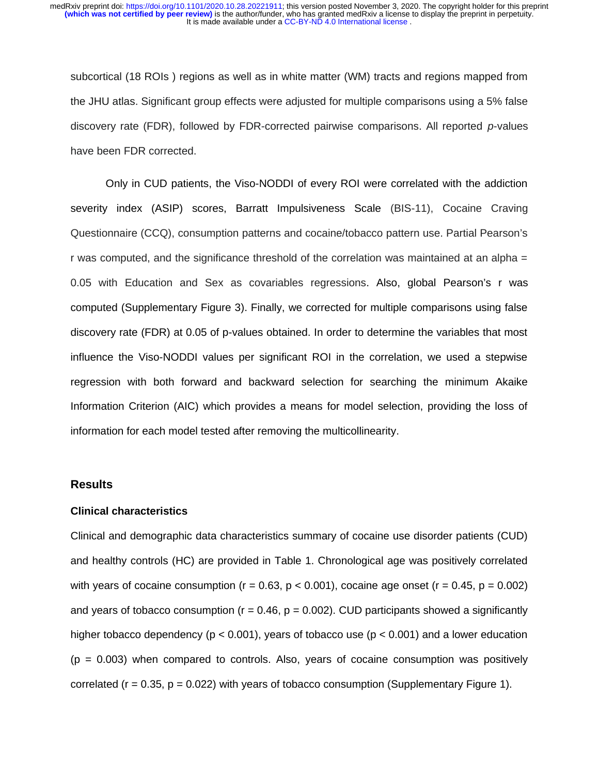subcortical (18 ROIs ) regions as well as in white matter (WM) tracts and regions mapped from the JHU atlas. Significant group effects were adjusted for multiple comparisons using a 5% false discovery rate (FDR), followed by FDR‐corrected pairwise comparisons. All reported *p*‐values have been FDR corrected.

Only in CUD patients, the Viso-NODDI of every ROI were correlated with the addiction severity index (ASIP) scores, Barratt Impulsiveness Scale (BIS-11), Cocaine Craving Questionnaire (CCQ), consumption patterns and cocaine/tobacco pattern use. Partial Pearson's r was computed, and the significance threshold of the correlation was maintained at an alpha = 0.05 with Education and Sex as covariables regressions. Also, global Pearson's r was computed (Supplementary Figure 3). Finally, we corrected for multiple comparisons using false discovery rate (FDR) at 0.05 of p-values obtained. In order to determine the variables that most influence the Viso-NODDI values per significant ROI in the correlation, we used a stepwise regression with both forward and backward selection for searching the minimum Akaike Information Criterion (AIC) which provides a means for model selection, providing the loss of information for each model tested after removing the multicollinearity.

#### **Results**

## **Clinical characteristics**

Clinical and demographic data characteristics summary of cocaine use disorder patients (CUD) and healthy controls (HC) are provided in Table 1. Chronological age was positively correlated with years of cocaine consumption ( $r = 0.63$ ,  $p < 0.001$ ), cocaine age onset ( $r = 0.45$ ,  $p = 0.002$ ) and years of tobacco consumption ( $r = 0.46$ ,  $p = 0.002$ ). CUD participants showed a significantly higher tobacco dependency ( $p < 0.001$ ), years of tobacco use ( $p < 0.001$ ) and a lower education  $(p = 0.003)$  when compared to controls. Also, years of cocaine consumption was positively correlated ( $r = 0.35$ ,  $p = 0.022$ ) with years of tobacco consumption (Supplementary Figure 1).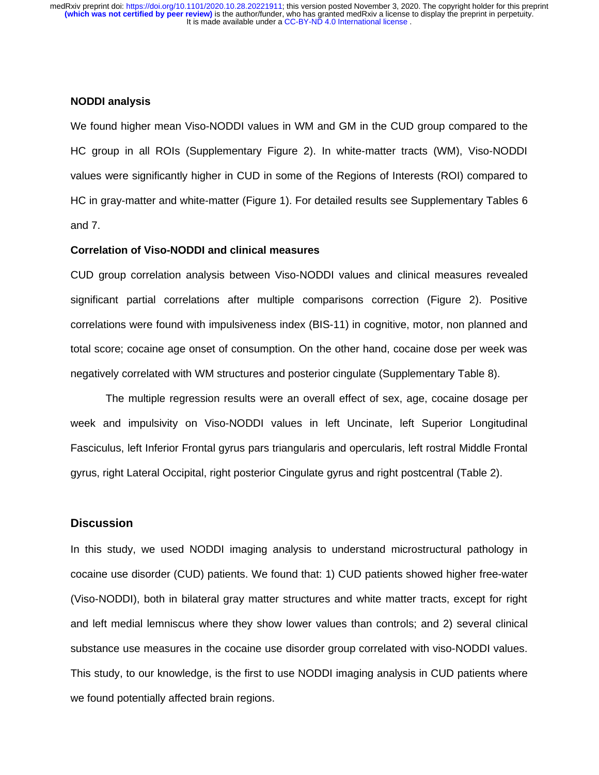#### **NODDI analysis**

We found higher mean Viso-NODDI values in WM and GM in the CUD group compared to the HC group in all ROIs (Supplementary Figure 2). In white-matter tracts (WM), Viso-NODDI values were significantly higher in CUD in some of the Regions of Interests (ROI) compared to HC in gray-matter and white-matter (Figure 1). For detailed results see Supplementary Tables 6 and 7.

## **Correlation of Viso-NODDI and clinical measures**

CUD group correlation analysis between Viso-NODDI values and clinical measures revealed significant partial correlations after multiple comparisons correction (Figure 2). Positive correlations were found with impulsiveness index (BIS-11) in cognitive, motor, non planned and total score; cocaine age onset of consumption. On the other hand, cocaine dose per week was negatively correlated with WM structures and posterior cingulate (Supplementary Table 8).

The multiple regression results were an overall effect of sex, age, cocaine dosage per week and impulsivity on Viso-NODDI values in left Uncinate, left Superior Longitudinal Fasciculus, left Inferior Frontal gyrus pars triangularis and opercularis, left rostral Middle Frontal gyrus, right Lateral Occipital, right posterior Cingulate gyrus and right postcentral (Table 2).

# **Discussion**

In this study, we used NODDI imaging analysis to understand microstructural pathology in cocaine use disorder (CUD) patients. We found that: 1) CUD patients showed higher free-water (Viso-NODDI), both in bilateral gray matter structures and white matter tracts, except for right and left medial lemniscus where they show lower values than controls; and 2) several clinical substance use measures in the cocaine use disorder group correlated with viso-NODDI values. This study, to our knowledge, is the first to use NODDI imaging analysis in CUD patients where we found potentially affected brain regions.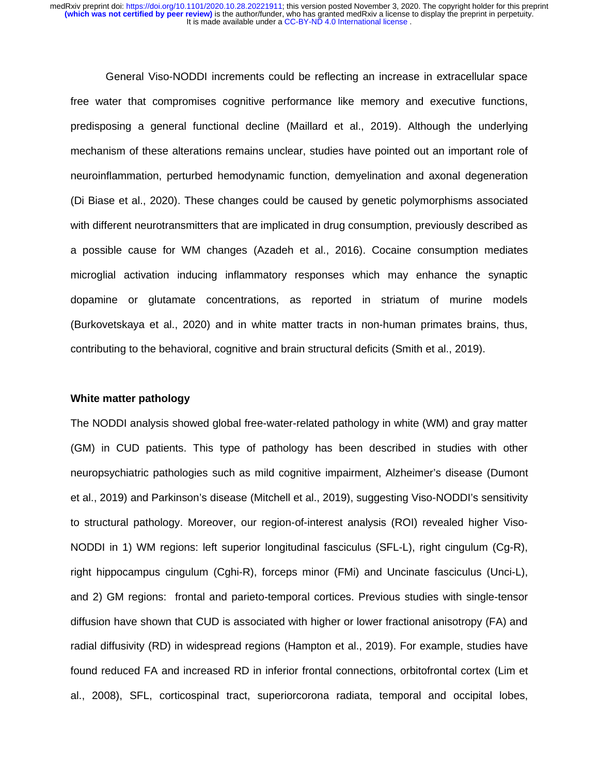General Viso-NODDI increments could be reflecting an increase in extracellular space free water that compromises cognitive performance like memory and executive functions, predisposing a general functional decline (Maillard et al., 2019). Although the underlying mechanism of these alterations remains unclear, studies have pointed out an important role of neuroinflammation, perturbed hemodynamic function, demyelination and axonal degeneration (Di Biase et al., 2020). These changes could be caused by genetic polymorphisms associated with different neurotransmitters that are implicated in drug consumption, previously described as a possible cause for WM changes (Azadeh et al., 2016). Cocaine consumption mediates microglial activation inducing inflammatory responses which may enhance the synaptic dopamine or glutamate concentrations, as reported in striatum of murine models (Burkovetskaya et al., 2020) and in white matter tracts in non-human primates brains, thus, contributing to the behavioral, cognitive and brain structural deficits (Smith et al., 2019).

## **White matter pathology**

The NODDI analysis showed global free-water-related pathology in white (WM) and gray matter (GM) in CUD patients. This type of pathology has been described in studies with other neuropsychiatric pathologies such as mild cognitive impairment, Alzheimer's disease (Dumont et al., 2019) and Parkinson's disease (Mitchell et al., 2019), suggesting Viso-NODDI's sensitivity to structural pathology. Moreover, our region-of-interest analysis (ROI) revealed higher Viso-NODDI in 1) WM regions: left superior longitudinal fasciculus (SFL-L), right cingulum (Cg-R), right hippocampus cingulum (Cghi-R), forceps minor (FMi) and Uncinate fasciculus (Unci-L), and 2) GM regions: frontal and parieto-temporal cortices. Previous studies with single-tensor diffusion have shown that CUD is associated with higher or lower fractional anisotropy (FA) and radial diffusivity (RD) in widespread regions (Hampton et al., 2019). For example, studies have found reduced FA and increased RD in inferior frontal connections, orbitofrontal cortex (Lim et al., 2008), SFL, corticospinal tract, superiorcorona radiata, temporal and occipital lobes,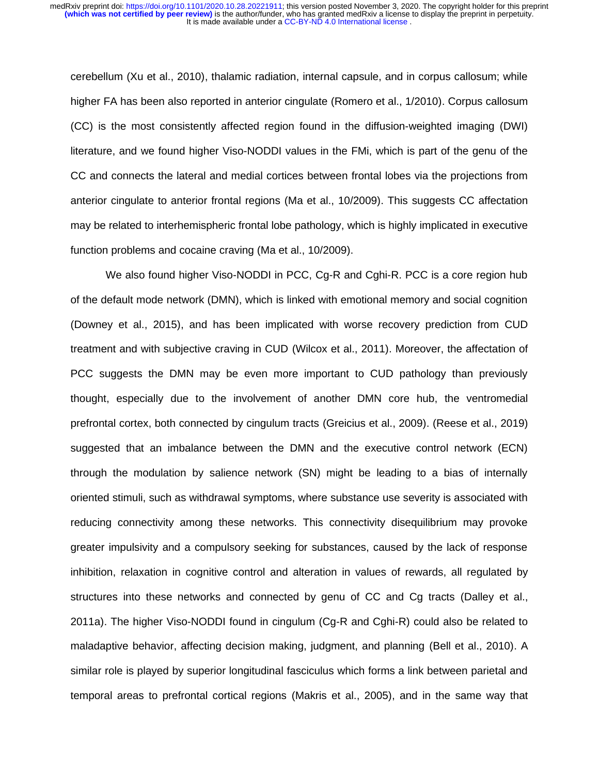cerebellum (Xu et al., 2010), thalamic radiation, internal capsule, and in corpus callosum; while higher FA has been also reported in anterior cingulate (Romero et al., 1/2010). Corpus callosum (CC) is the most consistently affected region found in the diffusion-weighted imaging (DWI) literature, and we found higher Viso-NODDI values in the FMi, which is part of the genu of the CC and connects the lateral and medial cortices between frontal lobes via the projections from anterior cingulate to anterior frontal regions (Ma et al., 10/2009). This suggests CC affectation may be related to interhemispheric frontal lobe pathology, which is highly implicated in executive function problems and cocaine craving (Ma et al., 10/2009).

We also found higher Viso-NODDI in PCC, Cg-R and Cghi-R. PCC is a core region hub of the default mode network (DMN), which is linked with emotional memory and social cognition (Downey et al., 2015), and has been implicated with worse recovery prediction from CUD treatment and with subjective craving in CUD (Wilcox et al., 2011). Moreover, the affectation of PCC suggests the DMN may be even more important to CUD pathology than previously thought, especially due to the involvement of another DMN core hub, the ventromedial prefrontal cortex, both connected by cingulum tracts (Greicius et al., 2009). (Reese et al., 2019) suggested that an imbalance between the DMN and the executive control network (ECN) through the modulation by salience network (SN) might be leading to a bias of internally oriented stimuli, such as withdrawal symptoms, where substance use severity is associated with reducing connectivity among these networks. This connectivity disequilibrium may provoke greater impulsivity and a compulsory seeking for substances, caused by the lack of response inhibition, relaxation in cognitive control and alteration in values of rewards, all regulated by structures into these networks and connected by genu of CC and Cg tracts (Dalley et al., 2011a). The higher Viso-NODDI found in cingulum (Cg-R and Cghi-R) could also be related to maladaptive behavior, affecting decision making, judgment, and planning (Bell et al., 2010). A similar role is played by superior longitudinal fasciculus which forms a link between parietal and temporal areas to prefrontal cortical regions (Makris et al., 2005), and in the same way that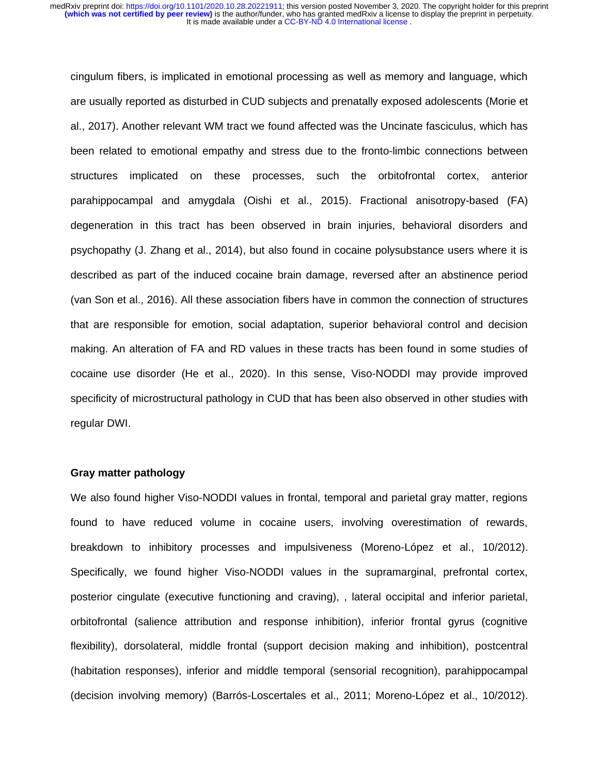cingulum fibers, is implicated in emotional processing as well as memory and language, which are usually reported as disturbed in CUD subjects and prenatally exposed adolescents (Morie et al., 2017). Another relevant WM tract we found affected was the Uncinate fasciculus, which has been related to emotional empathy and stress due to the fronto-limbic connections between structures implicated on these processes, such the orbitofrontal cortex, anterior parahippocampal and amygdala (Oishi et al., 2015). Fractional anisotropy-based (FA) degeneration in this tract has been observed in brain injuries, behavioral disorders and psychopathy (J. Zhang et al., 2014), but also found in cocaine polysubstance users where it is described as part of the induced cocaine brain damage, reversed after an abstinence period (van Son et al., 2016). All these association fibers have in common the connection of structures that are responsible for emotion, social adaptation, superior behavioral control and decision making. An alteration of FA and RD values in these tracts has been found in some studies of cocaine use disorder (He et al., 2020). In this sense, Viso-NODDI may provide improved specificity of microstructural pathology in CUD that has been also observed in other studies with regular DWI.

# **Gray matter pathology**

We also found higher Viso-NODDI values in frontal, temporal and parietal gray matter, regions found to have reduced volume in cocaine users, involving overestimation of rewards, breakdown to inhibitory processes and impulsiveness (Moreno-López et al., 10/2012). Specifically, we found higher Viso-NODDI values in the supramarginal, prefrontal cortex, posterior cingulate (executive functioning and craving), , lateral occipital and inferior parietal, orbitofrontal (salience attribution and response inhibition), inferior frontal gyrus (cognitive flexibility), dorsolateral, middle frontal (support decision making and inhibition), postcentral (habitation responses), inferior and middle temporal (sensorial recognition), parahippocampal (decision involving memory) (Barrós-Loscertales et al., 2011; Moreno-López et al., 10/2012).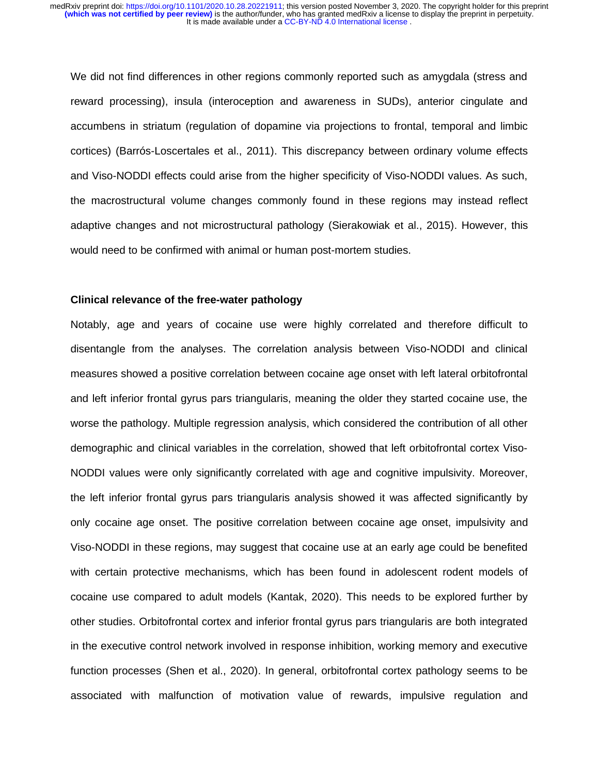We did not find differences in other regions commonly reported such as amygdala (stress and reward processing), insula (interoception and awareness in SUDs), anterior cingulate and accumbens in striatum (regulation of dopamine via projections to frontal, temporal and limbic cortices) (Barrós-Loscertales et al., 2011). This discrepancy between ordinary volume effects and Viso-NODDI effects could arise from the higher specificity of Viso-NODDI values. As such, the macrostructural volume changes commonly found in these regions may instead reflect adaptive changes and not microstructural pathology (Sierakowiak et al., 2015). However, this would need to be confirmed with animal or human post-mortem studies.

#### **Clinical relevance of the free-water pathology**

Notably, age and years of cocaine use were highly correlated and therefore difficult to disentangle from the analyses. The correlation analysis between Viso-NODDI and clinical measures showed a positive correlation between cocaine age onset with left lateral orbitofrontal and left inferior frontal gyrus pars triangularis, meaning the older they started cocaine use, the worse the pathology. Multiple regression analysis, which considered the contribution of all other demographic and clinical variables in the correlation, showed that left orbitofrontal cortex Viso-NODDI values were only significantly correlated with age and cognitive impulsivity. Moreover, the left inferior frontal gyrus pars triangularis analysis showed it was affected significantly by only cocaine age onset. The positive correlation between cocaine age onset, impulsivity and Viso-NODDI in these regions, may suggest that cocaine use at an early age could be benefited with certain protective mechanisms, which has been found in adolescent rodent models of cocaine use compared to adult models (Kantak, 2020). This needs to be explored further by other studies. Orbitofrontal cortex and inferior frontal gyrus pars triangularis are both integrated in the executive control network involved in response inhibition, working memory and executive function processes (Shen et al., 2020). In general, orbitofrontal cortex pathology seems to be associated with malfunction of motivation value of rewards, impulsive regulation and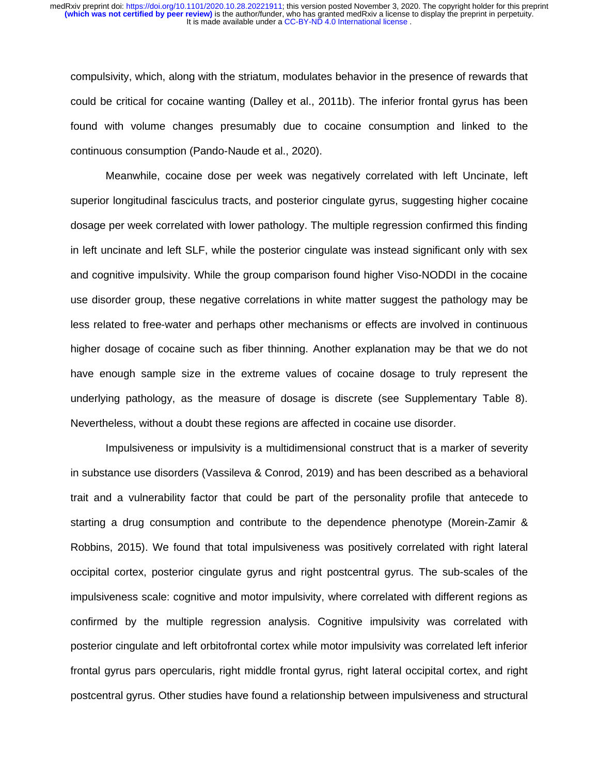compulsivity, which, along with the striatum, modulates behavior in the presence of rewards that could be critical for cocaine wanting (Dalley et al., 2011b). The inferior frontal gyrus has been found with volume changes presumably due to cocaine consumption and linked to the continuous consumption (Pando-Naude et al., 2020).

Meanwhile, cocaine dose per week was negatively correlated with left Uncinate, left superior longitudinal fasciculus tracts, and posterior cingulate gyrus, suggesting higher cocaine dosage per week correlated with lower pathology. The multiple regression confirmed this finding in left uncinate and left SLF, while the posterior cingulate was instead significant only with sex and cognitive impulsivity. While the group comparison found higher Viso-NODDI in the cocaine use disorder group, these negative correlations in white matter suggest the pathology may be less related to free-water and perhaps other mechanisms or effects are involved in continuous higher dosage of cocaine such as fiber thinning. Another explanation may be that we do not have enough sample size in the extreme values of cocaine dosage to truly represent the underlying pathology, as the measure of dosage is discrete (see Supplementary Table 8). Nevertheless, without a doubt these regions are affected in cocaine use disorder.

Impulsiveness or impulsivity is a multidimensional construct that is a marker of severity in substance use disorders (Vassileva & Conrod, 2019) and has been described as a behavioral trait and a vulnerability factor that could be part of the personality profile that antecede to starting a drug consumption and contribute to the dependence phenotype (Morein-Zamir & Robbins, 2015). We found that total impulsiveness was positively correlated with right lateral occipital cortex, posterior cingulate gyrus and right postcentral gyrus. The sub-scales of the impulsiveness scale: cognitive and motor impulsivity, where correlated with different regions as confirmed by the multiple regression analysis. Cognitive impulsivity was correlated with posterior cingulate and left orbitofrontal cortex while motor impulsivity was correlated left inferior frontal gyrus pars opercularis, right middle frontal gyrus, right lateral occipital cortex, and right postcentral gyrus. Other studies have found a relationship between impulsiveness and structural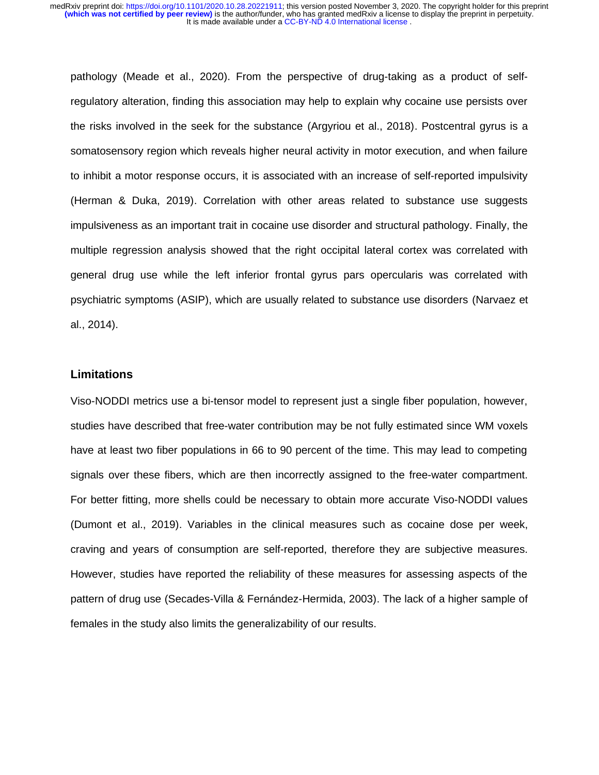pathology (Meade et al., 2020). From the perspective of drug-taking as a product of selfregulatory alteration, finding this association may help to explain why cocaine use persists over the risks involved in the seek for the substance (Argyriou et al., 2018). Postcentral gyrus is a somatosensory region which reveals higher neural activity in motor execution, and when failure to inhibit a motor response occurs, it is associated with an increase of self-reported impulsivity (Herman & Duka, 2019). Correlation with other areas related to substance use suggests impulsiveness as an important trait in cocaine use disorder and structural pathology. Finally, the multiple regression analysis showed that the right occipital lateral cortex was correlated with general drug use while the left inferior frontal gyrus pars opercularis was correlated with psychiatric symptoms (ASIP), which are usually related to substance use disorders (Narvaez et al., 2014).

## **Limitations**

Viso-NODDI metrics use a bi-tensor model to represent just a single fiber population, however, studies have described that free-water contribution may be not fully estimated since WM voxels have at least two fiber populations in 66 to 90 percent of the time. This may lead to competing signals over these fibers, which are then incorrectly assigned to the free-water compartment. For better fitting, more shells could be necessary to obtain more accurate Viso-NODDI values (Dumont et al., 2019). Variables in the clinical measures such as cocaine dose per week, craving and years of consumption are self-reported, therefore they are subjective measures. However, studies have reported the reliability of these measures for assessing aspects of the pattern of drug use (Secades-Villa & Fernández-Hermida, 2003). The lack of a higher sample of females in the study also limits the generalizability of our results.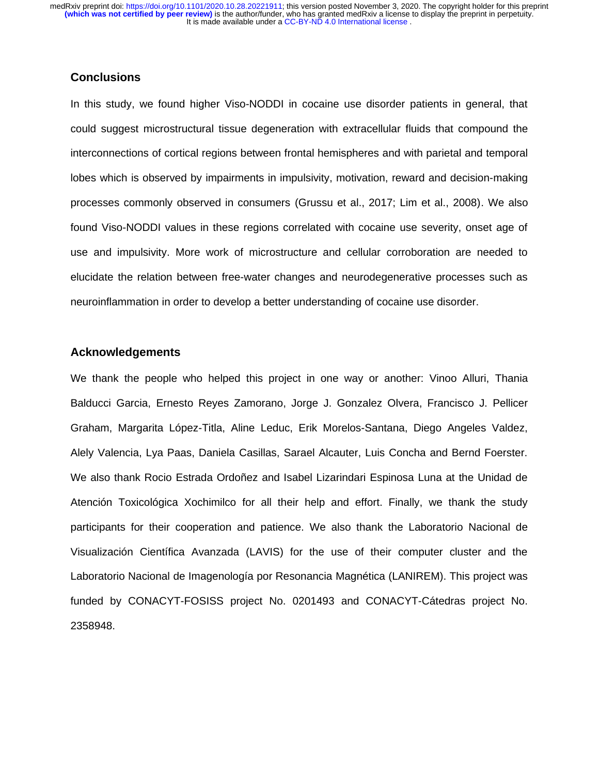# **Conclusions**

In this study, we found higher Viso-NODDI in cocaine use disorder patients in general, that could suggest microstructural tissue degeneration with extracellular fluids that compound the interconnections of cortical regions between frontal hemispheres and with parietal and temporal lobes which is observed by impairments in impulsivity, motivation, reward and decision-making processes commonly observed in consumers (Grussu et al., 2017; Lim et al., 2008). We also found Viso-NODDI values in these regions correlated with cocaine use severity, onset age of use and impulsivity. More work of microstructure and cellular corroboration are needed to elucidate the relation between free-water changes and neurodegenerative processes such as neuroinflammation in order to develop a better understanding of cocaine use disorder.

# **Acknowledgements**

We thank the people who helped this project in one way or another: Vinoo Alluri, Thania Balducci Garcia, Ernesto Reyes Zamorano, Jorge J. Gonzalez Olvera, Francisco J. Pellicer Graham, Margarita López-Titla, Aline Leduc, Erik Morelos-Santana, Diego Angeles Valdez, Alely Valencia, Lya Paas, Daniela Casillas, Sarael Alcauter, Luis Concha and Bernd Foerster. We also thank Rocio Estrada Ordoñez and Isabel Lizarindari Espinosa Luna at the Unidad de Atención Toxicológica Xochimilco for all their help and effort. Finally, we thank the study participants for their cooperation and patience. We also thank the Laboratorio Nacional de Visualización Científica Avanzada (LAVIS) for the use of their computer cluster and the Laboratorio Nacional de Imagenología por Resonancia Magnética (LANIREM). This project was funded by CONACYT-FOSISS project No. 0201493 and CONACYT-Cátedras project No. 2358948.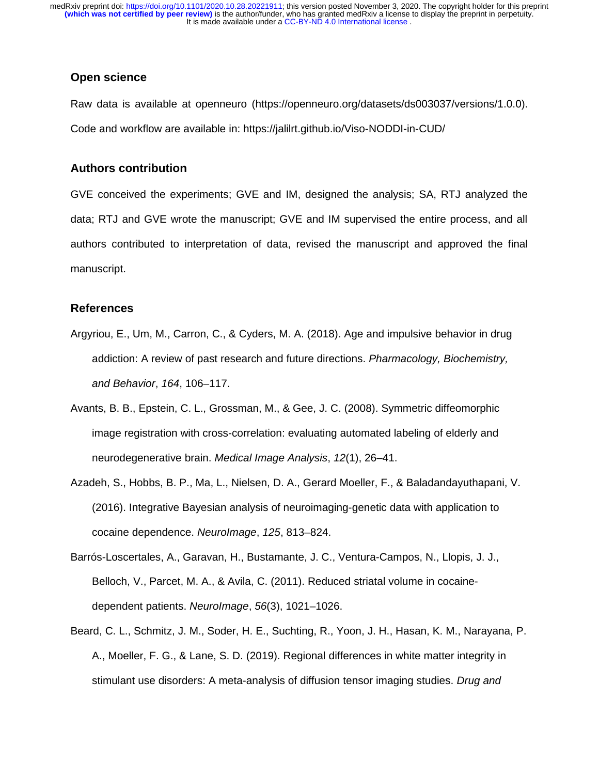# **Open science**

Raw data is available at openneuro (https://openneuro.org/datasets/ds003037/versions/1.0.0). Code and workflow are available in: https://jalilrt.github.io/Viso-NODDI-in-CUD/

## **Authors contribution**

GVE conceived the experiments; GVE and IM, designed the analysis; SA, RTJ analyzed the data; RTJ and GVE wrote the manuscript; GVE and IM supervised the entire process, and all authors contributed to interpretation of data, revised the manuscript and approved the final manuscript.

# **References**

- Argyriou, E., Um, M., Carron, C., & Cyders, M. A. (2018). Age and impulsive behavior in drug addiction: A review of past research and future directions. *Pharmacology, Biochemistry, and Behavior*, *164*, 106–117.
- Avants, B. B., Epstein, C. L., Grossman, M., & Gee, J. C. (2008). Symmetric diffeomorphic image registration with cross-correlation: evaluating automated labeling of elderly and neurodegenerative brain. *Medical Image Analysis*, *12*(1), 26–41.
- Azadeh, S., Hobbs, B. P., Ma, L., Nielsen, D. A., Gerard Moeller, F., & Baladandayuthapani, V. (2016). Integrative Bayesian analysis of neuroimaging-genetic data with application to cocaine dependence. *NeuroImage*, *125*, 813–824.
- Barrós-Loscertales, A., Garavan, H., Bustamante, J. C., Ventura-Campos, N., Llopis, J. J., Belloch, V., Parcet, M. A., & Avila, C. (2011). Reduced striatal volume in cocainedependent patients. *NeuroImage*, *56*(3), 1021–1026.
- Beard, C. L., Schmitz, J. M., Soder, H. E., Suchting, R., Yoon, J. H., Hasan, K. M., Narayana, P. A., Moeller, F. G., & Lane, S. D. (2019). Regional differences in white matter integrity in stimulant use disorders: A meta-analysis of diffusion tensor imaging studies. *Drug and*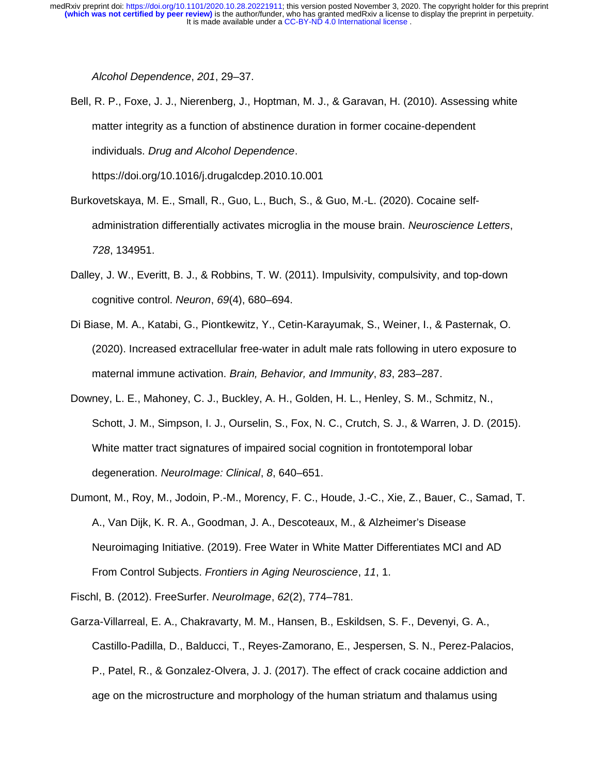*Alcohol Dependence*, *201*, 29–37.

Bell, R. P., Foxe, J. J., Nierenberg, J., Hoptman, M. J., & Garavan, H. (2010). Assessing white matter integrity as a function of abstinence duration in former cocaine-dependent individuals. *Drug and Alcohol Dependence*.

https://doi.org/10.1016/j.drugalcdep.2010.10.001

- Burkovetskaya, M. E., Small, R., Guo, L., Buch, S., & Guo, M.-L. (2020). Cocaine selfadministration differentially activates microglia in the mouse brain. *Neuroscience Letters*, *728*, 134951.
- Dalley, J. W., Everitt, B. J., & Robbins, T. W. (2011). Impulsivity, compulsivity, and top-down cognitive control. *Neuron*, *69*(4), 680–694.
- Di Biase, M. A., Katabi, G., Piontkewitz, Y., Cetin-Karayumak, S., Weiner, I., & Pasternak, O. (2020). Increased extracellular free-water in adult male rats following in utero exposure to maternal immune activation. *Brain, Behavior, and Immunity*, *83*, 283–287.
- Downey, L. E., Mahoney, C. J., Buckley, A. H., Golden, H. L., Henley, S. M., Schmitz, N., Schott, J. M., Simpson, I. J., Ourselin, S., Fox, N. C., Crutch, S. J., & Warren, J. D. (2015). White matter tract signatures of impaired social cognition in frontotemporal lobar degeneration. *NeuroImage: Clinical*, *8*, 640–651.
- Dumont, M., Roy, M., Jodoin, P.-M., Morency, F. C., Houde, J.-C., Xie, Z., Bauer, C., Samad, T. A., Van Dijk, K. R. A., Goodman, J. A., Descoteaux, M., & Alzheimer's Disease Neuroimaging Initiative. (2019). Free Water in White Matter Differentiates MCI and AD From Control Subjects. *Frontiers in Aging Neuroscience*, *11*, 1.

Fischl, B. (2012). FreeSurfer. *NeuroImage*, *62*(2), 774–781.

Garza-Villarreal, E. A., Chakravarty, M. M., Hansen, B., Eskildsen, S. F., Devenyi, G. A., Castillo-Padilla, D., Balducci, T., Reyes-Zamorano, E., Jespersen, S. N., Perez-Palacios, P., Patel, R., & Gonzalez-Olvera, J. J. (2017). The effect of crack cocaine addiction and age on the microstructure and morphology of the human striatum and thalamus using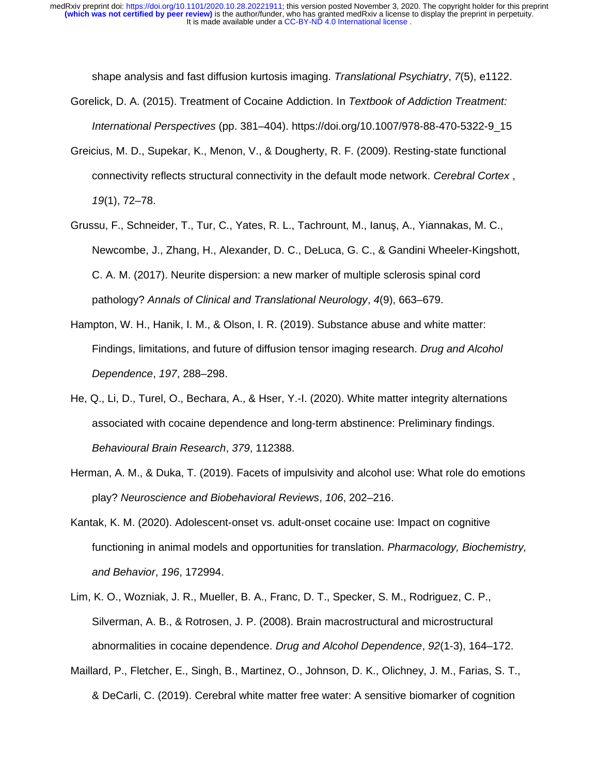shape analysis and fast diffusion kurtosis imaging. *Translational Psychiatry*, *7*(5), e1122. Gorelick, D. A. (2015). Treatment of Cocaine Addiction. In *Textbook of Addiction Treatment:* 

*International Perspectives* (pp. 381–404). https://doi.org/10.1007/978-88-470-5322-9\_15

- Greicius, M. D., Supekar, K., Menon, V., & Dougherty, R. F. (2009). Resting-state functional connectivity reflects structural connectivity in the default mode network. *Cerebral Cortex* , *19*(1), 72–78.
- Grussu, F., Schneider, T., Tur, C., Yates, R. L., Tachrount, M., Ianuş, A., Yiannakas, M. C., Newcombe, J., Zhang, H., Alexander, D. C., DeLuca, G. C., & Gandini Wheeler-Kingshott, C. A. M. (2017). Neurite dispersion: a new marker of multiple sclerosis spinal cord pathology? *Annals of Clinical and Translational Neurology*, *4*(9), 663–679.
- Hampton, W. H., Hanik, I. M., & Olson, I. R. (2019). Substance abuse and white matter: Findings, limitations, and future of diffusion tensor imaging research. *Drug and Alcohol Dependence*, *197*, 288–298.
- He, Q., Li, D., Turel, O., Bechara, A., & Hser, Y.-I. (2020). White matter integrity alternations associated with cocaine dependence and long-term abstinence: Preliminary findings. *Behavioural Brain Research*, *379*, 112388.
- Herman, A. M., & Duka, T. (2019). Facets of impulsivity and alcohol use: What role do emotions play? *Neuroscience and Biobehavioral Reviews*, *106*, 202–216.
- Kantak, K. M. (2020). Adolescent-onset vs. adult-onset cocaine use: Impact on cognitive functioning in animal models and opportunities for translation. *Pharmacology, Biochemistry, and Behavior*, *196*, 172994.
- Lim, K. O., Wozniak, J. R., Mueller, B. A., Franc, D. T., Specker, S. M., Rodriguez, C. P., Silverman, A. B., & Rotrosen, J. P. (2008). Brain macrostructural and microstructural abnormalities in cocaine dependence. *Drug and Alcohol Dependence*, *92*(1-3), 164–172.
- Maillard, P., Fletcher, E., Singh, B., Martinez, O., Johnson, D. K., Olichney, J. M., Farias, S. T., & DeCarli, C. (2019). Cerebral white matter free water: A sensitive biomarker of cognition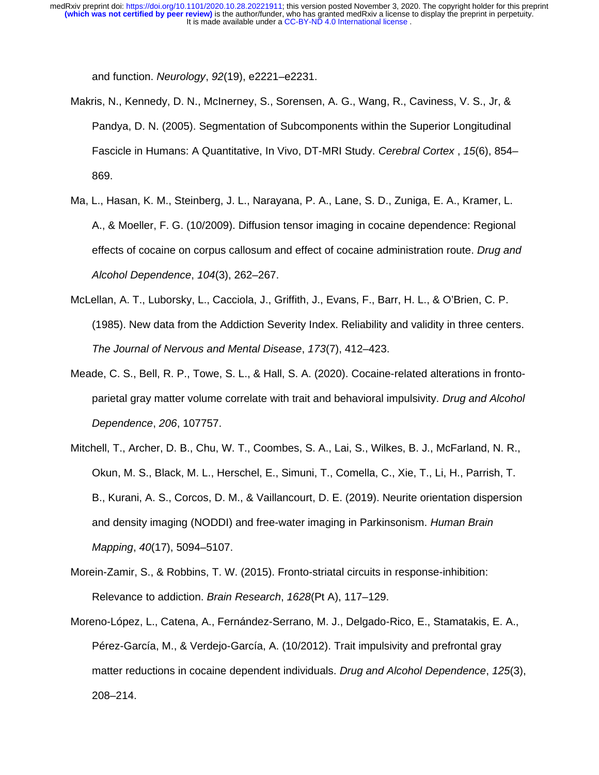It is made available under a CC-BY-ND 4.0 International license. **(which was not certified by peer review)** is the author/funder, who has granted medRxiv a license to display the preprint in perpetuity. medRxiv preprint doi: [https://doi.org/10.1101/2020.10.28.20221911;](https://doi.org/10.1101/2020.10.28.20221911) this version posted November 3, 2020. The copyright holder for this preprint

and function. *Neurology*, *92*(19), e2221–e2231.

- Makris, N., Kennedy, D. N., McInerney, S., Sorensen, A. G., Wang, R., Caviness, V. S., Jr, & Pandya, D. N. (2005). Segmentation of Subcomponents within the Superior Longitudinal Fascicle in Humans: A Quantitative, In Vivo, DT-MRI Study. *Cerebral Cortex* , *15*(6), 854– 869.
- Ma, L., Hasan, K. M., Steinberg, J. L., Narayana, P. A., Lane, S. D., Zuniga, E. A., Kramer, L. A., & Moeller, F. G. (10/2009). Diffusion tensor imaging in cocaine dependence: Regional effects of cocaine on corpus callosum and effect of cocaine administration route. *Drug and Alcohol Dependence*, *104*(3), 262–267.
- McLellan, A. T., Luborsky, L., Cacciola, J., Griffith, J., Evans, F., Barr, H. L., & O'Brien, C. P. (1985). New data from the Addiction Severity Index. Reliability and validity in three centers. *The Journal of Nervous and Mental Disease*, *173*(7), 412–423.
- Meade, C. S., Bell, R. P., Towe, S. L., & Hall, S. A. (2020). Cocaine-related alterations in frontoparietal gray matter volume correlate with trait and behavioral impulsivity. *Drug and Alcohol Dependence*, *206*, 107757.
- Mitchell, T., Archer, D. B., Chu, W. T., Coombes, S. A., Lai, S., Wilkes, B. J., McFarland, N. R., Okun, M. S., Black, M. L., Herschel, E., Simuni, T., Comella, C., Xie, T., Li, H., Parrish, T. B., Kurani, A. S., Corcos, D. M., & Vaillancourt, D. E. (2019). Neurite orientation dispersion and density imaging (NODDI) and free-water imaging in Parkinsonism. *Human Brain Mapping*, *40*(17), 5094–5107.
- Morein-Zamir, S., & Robbins, T. W. (2015). Fronto-striatal circuits in response-inhibition: Relevance to addiction. *Brain Research*, *1628*(Pt A), 117–129.
- Moreno-López, L., Catena, A., Fernández-Serrano, M. J., Delgado-Rico, E., Stamatakis, E. A., Pérez-García, M., & Verdejo-García, A. (10/2012). Trait impulsivity and prefrontal gray matter reductions in cocaine dependent individuals. *Drug and Alcohol Dependence*, *125*(3), 208–214.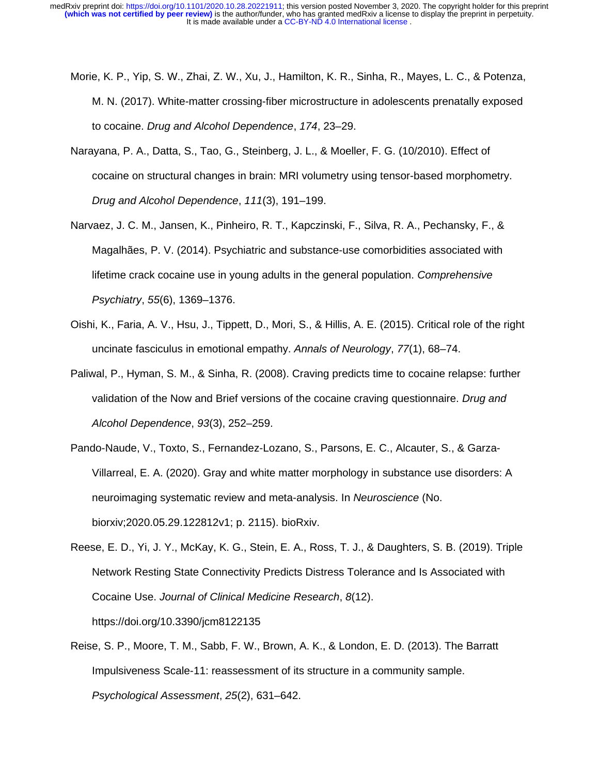- Morie, K. P., Yip, S. W., Zhai, Z. W., Xu, J., Hamilton, K. R., Sinha, R., Mayes, L. C., & Potenza, M. N. (2017). White-matter crossing-fiber microstructure in adolescents prenatally exposed to cocaine. *Drug and Alcohol Dependence*, *174*, 23–29.
- Narayana, P. A., Datta, S., Tao, G., Steinberg, J. L., & Moeller, F. G. (10/2010). Effect of cocaine on structural changes in brain: MRI volumetry using tensor-based morphometry. *Drug and Alcohol Dependence*, *111*(3), 191–199.
- Narvaez, J. C. M., Jansen, K., Pinheiro, R. T., Kapczinski, F., Silva, R. A., Pechansky, F., & Magalhães, P. V. (2014). Psychiatric and substance-use comorbidities associated with lifetime crack cocaine use in young adults in the general population. *Comprehensive Psychiatry*, *55*(6), 1369–1376.
- Oishi, K., Faria, A. V., Hsu, J., Tippett, D., Mori, S., & Hillis, A. E. (2015). Critical role of the right uncinate fasciculus in emotional empathy. *Annals of Neurology*, *77*(1), 68–74.
- Paliwal, P., Hyman, S. M., & Sinha, R. (2008). Craving predicts time to cocaine relapse: further validation of the Now and Brief versions of the cocaine craving questionnaire. *Drug and Alcohol Dependence*, *93*(3), 252–259.
- Pando-Naude, V., Toxto, S., Fernandez-Lozano, S., Parsons, E. C., Alcauter, S., & Garza-Villarreal, E. A. (2020). Gray and white matter morphology in substance use disorders: A neuroimaging systematic review and meta-analysis. In *Neuroscience* (No. biorxiv;2020.05.29.122812v1; p. 2115). bioRxiv.
- Reese, E. D., Yi, J. Y., McKay, K. G., Stein, E. A., Ross, T. J., & Daughters, S. B. (2019). Triple Network Resting State Connectivity Predicts Distress Tolerance and Is Associated with Cocaine Use. *Journal of Clinical Medicine Research*, *8*(12). https://doi.org/10.3390/jcm8122135
- Reise, S. P., Moore, T. M., Sabb, F. W., Brown, A. K., & London, E. D. (2013). The Barratt Impulsiveness Scale-11: reassessment of its structure in a community sample. *Psychological Assessment*, *25*(2), 631–642.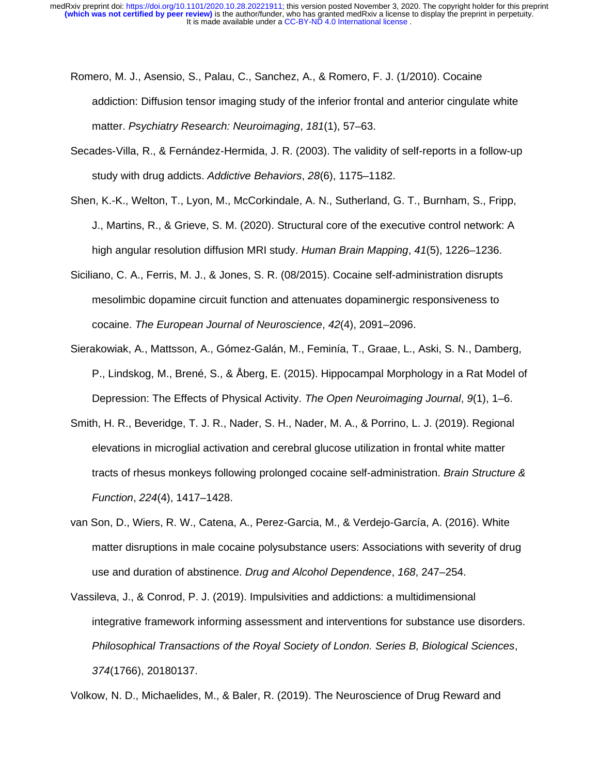- Romero, M. J., Asensio, S., Palau, C., Sanchez, A., & Romero, F. J. (1/2010). Cocaine addiction: Diffusion tensor imaging study of the inferior frontal and anterior cingulate white matter. *Psychiatry Research: Neuroimaging*, *181*(1), 57–63.
- Secades-Villa, R., & Fernández-Hermida, J. R. (2003). The validity of self-reports in a follow-up study with drug addicts. *Addictive Behaviors*, *28*(6), 1175–1182.
- Shen, K.-K., Welton, T., Lyon, M., McCorkindale, A. N., Sutherland, G. T., Burnham, S., Fripp, J., Martins, R., & Grieve, S. M. (2020). Structural core of the executive control network: A high angular resolution diffusion MRI study. *Human Brain Mapping*, *41*(5), 1226–1236.
- Siciliano, C. A., Ferris, M. J., & Jones, S. R. (08/2015). Cocaine self-administration disrupts mesolimbic dopamine circuit function and attenuates dopaminergic responsiveness to cocaine. *The European Journal of Neuroscience*, *42*(4), 2091–2096.
- Sierakowiak, A., Mattsson, A., Gómez-Galán, M., Feminía, T., Graae, L., Aski, S. N., Damberg, P., Lindskog, M., Brené, S., & Åberg, E. (2015). Hippocampal Morphology in a Rat Model of Depression: The Effects of Physical Activity. *The Open Neuroimaging Journal*, *9*(1), 1–6.
- Smith, H. R., Beveridge, T. J. R., Nader, S. H., Nader, M. A., & Porrino, L. J. (2019). Regional elevations in microglial activation and cerebral glucose utilization in frontal white matter tracts of rhesus monkeys following prolonged cocaine self-administration. *Brain Structure & Function*, *224*(4), 1417–1428.
- van Son, D., Wiers, R. W., Catena, A., Perez-Garcia, M., & Verdejo-García, A. (2016). White matter disruptions in male cocaine polysubstance users: Associations with severity of drug use and duration of abstinence. *Drug and Alcohol Dependence*, *168*, 247–254.
- Vassileva, J., & Conrod, P. J. (2019). Impulsivities and addictions: a multidimensional integrative framework informing assessment and interventions for substance use disorders. *Philosophical Transactions of the Royal Society of London. Series B, Biological Sciences*, *374*(1766), 20180137.

Volkow, N. D., Michaelides, M., & Baler, R. (2019). The Neuroscience of Drug Reward and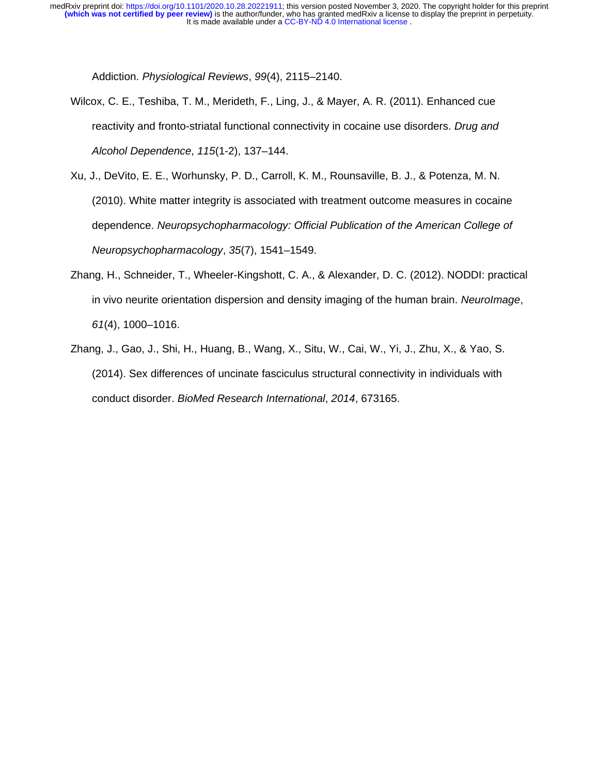Addiction. *Physiological Reviews*, *99*(4), 2115–2140.

- Wilcox, C. E., Teshiba, T. M., Merideth, F., Ling, J., & Mayer, A. R. (2011). Enhanced cue reactivity and fronto-striatal functional connectivity in cocaine use disorders. *Drug and Alcohol Dependence*, *115*(1-2), 137–144.
- Xu, J., DeVito, E. E., Worhunsky, P. D., Carroll, K. M., Rounsaville, B. J., & Potenza, M. N. (2010). White matter integrity is associated with treatment outcome measures in cocaine dependence. *Neuropsychopharmacology: Official Publication of the American College of Neuropsychopharmacology*, *35*(7), 1541–1549.
- Zhang, H., Schneider, T., Wheeler-Kingshott, C. A., & Alexander, D. C. (2012). NODDI: practical in vivo neurite orientation dispersion and density imaging of the human brain. *NeuroImage*, *61*(4), 1000–1016.
- Zhang, J., Gao, J., Shi, H., Huang, B., Wang, X., Situ, W., Cai, W., Yi, J., Zhu, X., & Yao, S. (2014). Sex differences of uncinate fasciculus structural connectivity in individuals with conduct disorder. *BioMed Research International*, *2014*, 673165.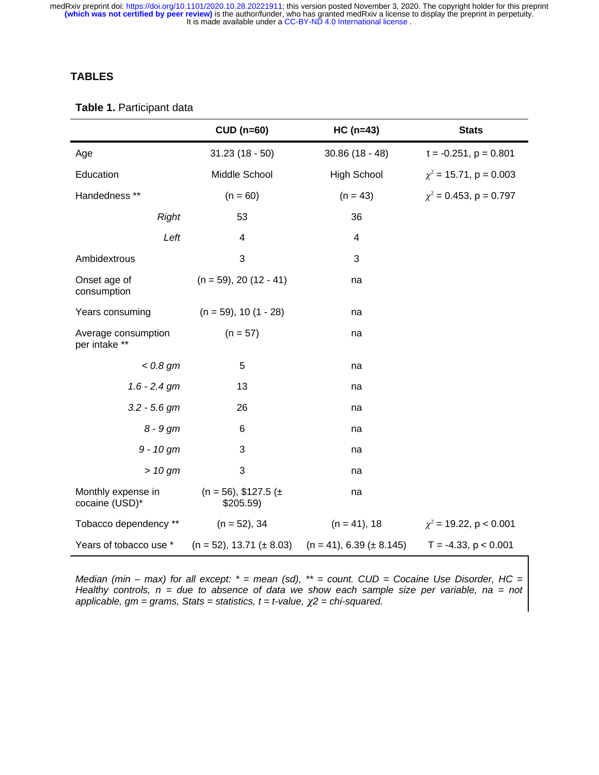### **TABLES**

#### **Table 1.** Participant data

|                                      | <b>CUD (n=60)</b>                    | $HC (n=43)$                      | <b>Stats</b>                |  |
|--------------------------------------|--------------------------------------|----------------------------------|-----------------------------|--|
| Age                                  | $31.23(18-50)$                       | $30.86(18 - 48)$                 | $t = -0.251$ , $p = 0.801$  |  |
| Education                            | Middle School                        | <b>High School</b>               | $\chi^2$ = 15.71, p = 0.003 |  |
| Handedness **                        | $(n = 60)$                           | $(n = 43)$                       | $\chi^2$ = 0.453, p = 0.797 |  |
| <b>Right</b>                         | 53                                   | 36                               |                             |  |
| Left                                 | $\overline{4}$                       | $\sqrt{4}$                       |                             |  |
| Ambidextrous                         | 3                                    | 3                                |                             |  |
| Onset age of<br>consumption          | $(n = 59)$ , 20 $(12 - 41)$          | na                               |                             |  |
| Years consuming                      | $(n = 59), 10(1 - 28)$               | na                               |                             |  |
| Average consumption<br>per intake ** | $(n = 57)$                           | na                               |                             |  |
| $< 0.8$ gm                           | 5                                    | na                               |                             |  |
| $1.6 - 2.4$ gm                       | 13                                   | na                               |                             |  |
| $3.2 - 5.6$ gm                       | 26                                   | na                               |                             |  |
| $8 - 9$ gm                           | $\,6$                                | na                               |                             |  |
| $9 - 10$ gm                          | 3                                    | na                               |                             |  |
| $> 10$ gm                            | 3                                    | na                               |                             |  |
| Monthly expense in<br>cocaine (USD)* | $(n = 56)$ , \$127.5 (±<br>\$205.59) | na                               |                             |  |
| Tobacco dependency **                | $(n = 52)$ , 34                      | $(n = 41)$ , 18                  | $\chi^2$ = 19.22, p < 0.001 |  |
| Years of tobacco use *               | $(n = 52)$ , 13.71 ( $\pm$ 8.03)     | $(n = 41)$ , 6.39 ( $\pm$ 8.145) | $T = -4.33$ , $p < 0.001$   |  |

*Median (min – max) for all except: \* = mean (sd), \*\* = count. CUD = Cocaine Use Disorder, HC = Healthy controls, n = due to absence of data we show each sample size per variable, na = not* applicable,  $gm = grams$ , Stats = statistics,  $t = t$ -value,  $\chi^2$  = chi-squared.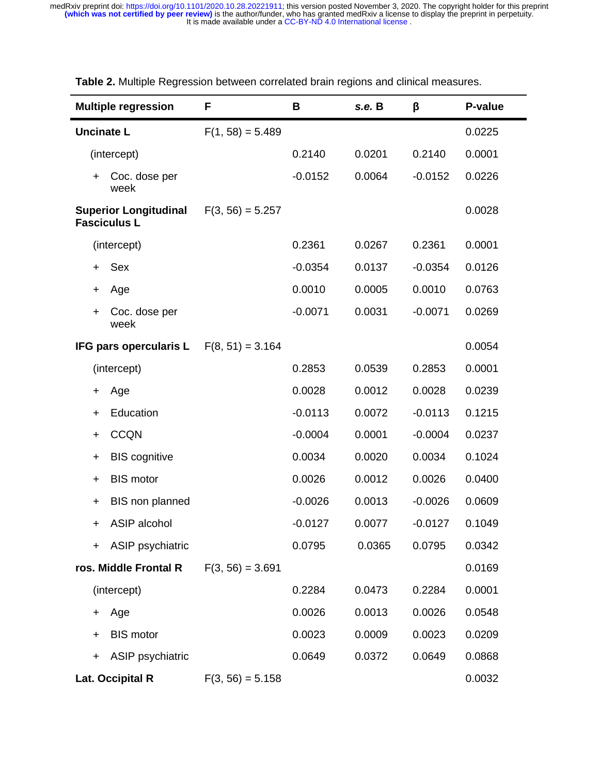| <b>Multiple regression</b>                          | F                  | B         | s.e. B | β         | P-value |
|-----------------------------------------------------|--------------------|-----------|--------|-----------|---------|
| <b>Uncinate L</b>                                   | $F(1, 58) = 5.489$ |           |        |           | 0.0225  |
| (intercept)                                         |                    | 0.2140    | 0.0201 | 0.2140    | 0.0001  |
| Coc. dose per<br>$\pm$<br>week                      |                    | $-0.0152$ | 0.0064 | $-0.0152$ | 0.0226  |
| <b>Superior Longitudinal</b><br><b>Fasciculus L</b> | $F(3, 56) = 5.257$ |           |        |           | 0.0028  |
| (intercept)                                         |                    | 0.2361    | 0.0267 | 0.2361    | 0.0001  |
| Sex<br>$\pm$                                        |                    | $-0.0354$ | 0.0137 | $-0.0354$ | 0.0126  |
| Age<br>+                                            |                    | 0.0010    | 0.0005 | 0.0010    | 0.0763  |
| Coc. dose per<br>$\pm$<br>week                      |                    | $-0.0071$ | 0.0031 | $-0.0071$ | 0.0269  |
| IFG pars opercularis L                              | $F(8, 51) = 3.164$ |           |        |           | 0.0054  |
| (intercept)                                         |                    | 0.2853    | 0.0539 | 0.2853    | 0.0001  |
| Age<br>+                                            |                    | 0.0028    | 0.0012 | 0.0028    | 0.0239  |
| Education<br>$\ddot{}$                              |                    | $-0.0113$ | 0.0072 | $-0.0113$ | 0.1215  |
| <b>CCQN</b><br>$\ddot{}$                            |                    | $-0.0004$ | 0.0001 | $-0.0004$ | 0.0237  |
| <b>BIS cognitive</b><br>$\ddot{}$                   |                    | 0.0034    | 0.0020 | 0.0034    | 0.1024  |
| <b>BIS motor</b><br>$\ddot{}$                       |                    | 0.0026    | 0.0012 | 0.0026    | 0.0400  |
| BIS non planned<br>$\ddot{}$                        |                    | $-0.0026$ | 0.0013 | $-0.0026$ | 0.0609  |
| ASIP alcohol<br>$\pm$                               |                    | $-0.0127$ | 0.0077 | $-0.0127$ | 0.1049  |
| ASIP psychiatric<br>$+$ $-$                         |                    | 0.0795    | 0.0365 | 0.0795    | 0.0342  |
| ros. Middle Frontal R                               | $F(3, 56) = 3.691$ |           |        |           | 0.0169  |
| (intercept)                                         |                    | 0.2284    | 0.0473 | 0.2284    | 0.0001  |
| Age<br>$^+$                                         |                    | 0.0026    | 0.0013 | 0.0026    | 0.0548  |
| <b>BIS motor</b><br>$\pm$                           |                    | 0.0023    | 0.0009 | 0.0023    | 0.0209  |
| ASIP psychiatric<br>$\ddot{}$                       |                    | 0.0649    | 0.0372 | 0.0649    | 0.0868  |
| Lat. Occipital R                                    | $F(3, 56) = 5.158$ |           |        |           | 0.0032  |

**Table 2.** Multiple Regression between correlated brain regions and clinical measures.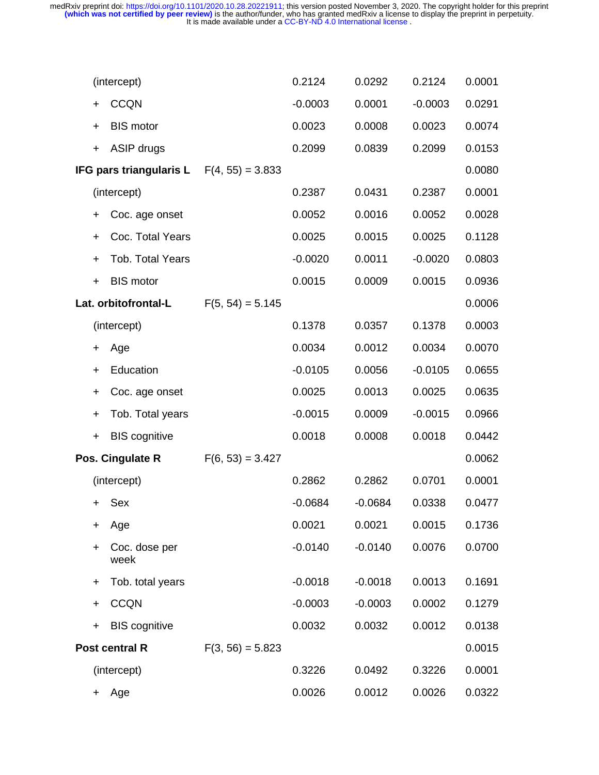|           | (intercept)                                       |                    | 0.2124    | 0.0292    | 0.2124    | 0.0001 |
|-----------|---------------------------------------------------|--------------------|-----------|-----------|-----------|--------|
| $\pm$     | <b>CCQN</b>                                       |                    | $-0.0003$ | 0.0001    | $-0.0003$ | 0.0291 |
| $\ddot{}$ | <b>BIS motor</b>                                  |                    | 0.0023    | 0.0008    | 0.0023    | 0.0074 |
| $+$       | ASIP drugs                                        |                    | 0.2099    | 0.0839    | 0.2099    | 0.0153 |
|           | <b>IFG pars triangularis L</b> $F(4, 55) = 3.833$ |                    |           |           |           | 0.0080 |
|           | (intercept)                                       |                    | 0.2387    | 0.0431    | 0.2387    | 0.0001 |
| $\ddot{}$ | Coc. age onset                                    |                    | 0.0052    | 0.0016    | 0.0052    | 0.0028 |
| $\ddot{}$ | Coc. Total Years                                  |                    | 0.0025    | 0.0015    | 0.0025    | 0.1128 |
| $\ddot{}$ | Tob. Total Years                                  |                    | $-0.0020$ | 0.0011    | $-0.0020$ | 0.0803 |
| $\ddot{}$ | <b>BIS motor</b>                                  |                    | 0.0015    | 0.0009    | 0.0015    | 0.0936 |
|           | Lat. orbitofrontal-L                              | $F(5, 54) = 5.145$ |           |           |           | 0.0006 |
|           | (intercept)                                       |                    | 0.1378    | 0.0357    | 0.1378    | 0.0003 |
| $\pm$     | Age                                               |                    | 0.0034    | 0.0012    | 0.0034    | 0.0070 |
| $\ddot{}$ | Education                                         |                    | $-0.0105$ | 0.0056    | $-0.0105$ | 0.0655 |
| $\ddot{}$ | Coc. age onset                                    |                    | 0.0025    | 0.0013    | 0.0025    | 0.0635 |
| $\ddot{}$ | Tob. Total years                                  |                    | $-0.0015$ | 0.0009    | $-0.0015$ | 0.0966 |
| $\ddot{}$ | <b>BIS cognitive</b>                              |                    | 0.0018    | 0.0008    | 0.0018    | 0.0442 |
|           | Pos. Cingulate R                                  | $F(6, 53) = 3.427$ |           |           |           | 0.0062 |
|           | (intercept)                                       |                    | 0.2862    | 0.2862    | 0.0701    | 0.0001 |
| $\ddag$   | Sex                                               |                    | $-0.0684$ | $-0.0684$ | 0.0338    | 0.0477 |
| $\pm$     | Age                                               |                    | 0.0021    | 0.0021    | 0.0015    | 0.1736 |
| $\ddot{}$ | Coc. dose per<br>week                             |                    | $-0.0140$ | $-0.0140$ | 0.0076    | 0.0700 |
| $\pm$     | Tob. total years                                  |                    | $-0.0018$ | $-0.0018$ | 0.0013    | 0.1691 |
| $\ddot{}$ | <b>CCQN</b>                                       |                    | $-0.0003$ | $-0.0003$ | 0.0002    | 0.1279 |
| $\ddot{}$ | <b>BIS cognitive</b>                              |                    | 0.0032    | 0.0032    | 0.0012    | 0.0138 |
|           | Post central R                                    | $F(3, 56) = 5.823$ |           |           |           | 0.0015 |
|           | (intercept)                                       |                    | 0.3226    | 0.0492    | 0.3226    | 0.0001 |
| $\ddag$   | Age                                               |                    | 0.0026    | 0.0012    | 0.0026    | 0.0322 |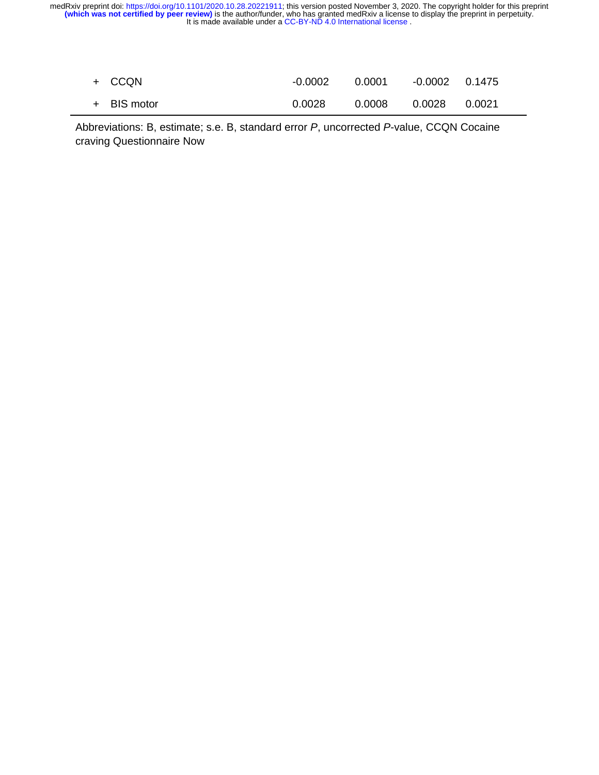| + CCON      | -0.0002 |        |                 |  |
|-------------|---------|--------|-----------------|--|
| + BIS motor | 0.0028  | 0.0008 | 0.0028   0.0021 |  |

Abbreviations: B, estimate; s.e. B, standard error *P*, uncorrected *P*-value, CCQN Cocaine craving Questionnaire Now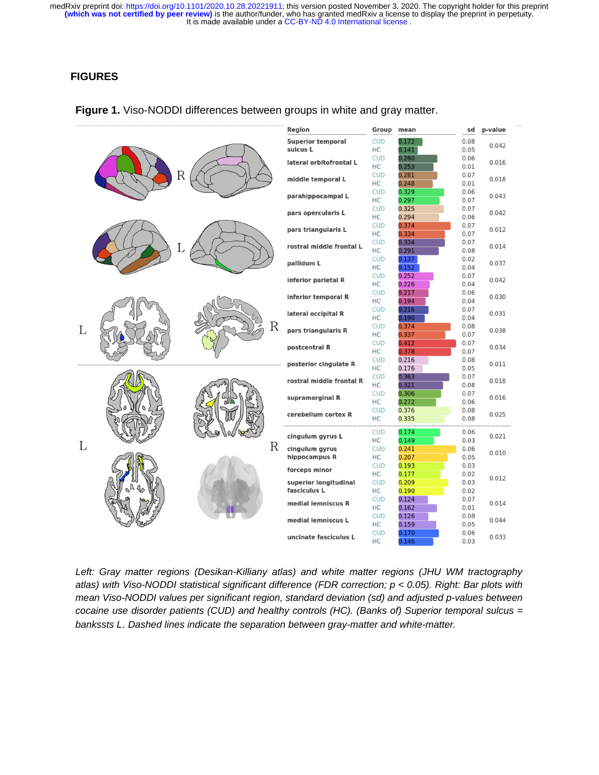# **FIGURES**

|   |  |                          | Region                                      | Group            | mean           | sd           | p-value |  |
|---|--|--------------------------|---------------------------------------------|------------------|----------------|--------------|---------|--|
| R |  | <b>Superior temporal</b> | <b>CUD</b>                                  | 0.172            | 0.08           |              |         |  |
|   |  | sulcus L                 | HC                                          | 0.141            | 0.05           | 0.042        |         |  |
|   |  |                          | <b>CUD</b>                                  | 0.280            | 0.06           | 0.016        |         |  |
|   |  | lateral orbitofrontal L  | HC                                          | 0.253            | 0.01           |              |         |  |
|   |  | middle temporal L        | <b>CUD</b>                                  | 0.281            | 0.07           | 0.018        |         |  |
|   |  |                          | HC                                          | 0.248            | 0.01           |              |         |  |
|   |  | parahippocampal L        | <b>CUD</b>                                  | 0.329            | 0.06           | 0.043        |         |  |
|   |  |                          |                                             | НC               | 0.297          | 0.07         |         |  |
|   |  |                          | pars opercularis L                          | <b>CUD</b>       | 0.325          | 0.07         | 0.042   |  |
|   |  |                          |                                             | HC               | 0.294          | 0.06         |         |  |
|   |  |                          | pars triangularis L                         | <b>CUD</b>       | 0.374          | 0.07         | 0.012   |  |
|   |  |                          |                                             | HC               | 0.334          | 0.07         |         |  |
|   |  |                          | rostral middle frontal L                    | <b>CUD</b>       | 0.334          | 0.07         | 0.014   |  |
|   |  |                          |                                             | HC               | 0.291          | 0.08         |         |  |
|   |  |                          | pallidum L                                  | <b>CUD</b>       | 0.137          | 0.02         | 0.037   |  |
|   |  |                          |                                             | НC               | 0.152          | 0.04         |         |  |
|   |  |                          | inferior parietal R                         | <b>CUD</b>       | 0.252          | 0.07         | 0.042   |  |
|   |  |                          |                                             | НC               | 0.226          | 0.04         |         |  |
|   |  | inferior temporal R      | <b>CUD</b>                                  | 0.217            | 0.06           | 0.030        |         |  |
|   |  | R                        |                                             | НC               | 0.194          | 0.04         |         |  |
|   |  |                          | lateral occipital R                         | <b>CUD</b>       | 0.216          | 0.07         | 0.031   |  |
|   |  |                          |                                             | HC               | 0.190          | 0.04         |         |  |
| L |  |                          | pars triangularis R                         | <b>CUD</b>       | 0.374          | 0.08         | 0.038   |  |
|   |  |                          | postcentral R<br>posterior cingulate R      | НC               | 0.337          | 0.07         |         |  |
|   |  |                          |                                             | <b>CUD</b><br>HC | 0.412<br>0.378 | 0.07<br>0.07 | 0.034   |  |
|   |  |                          |                                             | <b>CUD</b>       | 0.216          | 0.08         |         |  |
|   |  |                          |                                             | <b>HC</b>        | 0.176          | 0.05         | 0.011   |  |
|   |  | R                        | rostral middle frontal R<br>supramarginal R | <b>CUD</b>       | 0.363          | 0.07         |         |  |
|   |  |                          |                                             | <b>HC</b>        | 0.321          | 0.08         | 0.018   |  |
|   |  |                          |                                             | <b>CUD</b>       | 0.306          | 0.07         |         |  |
|   |  |                          |                                             | HC               | 0.272          | 0.06         | 0.016   |  |
|   |  |                          | cerebellum cortex R                         | <b>CUD</b>       | 0.376          | 0.08         |         |  |
|   |  |                          |                                             | НC               | 0.335          | 0.08         | 0.025   |  |
|   |  |                          |                                             |                  |                |              |         |  |
|   |  |                          | cingulum gyrus L<br>cingulum gyrus          | <b>CUD</b>       | 0.174          | 0.06         | 0.021   |  |
| L |  |                          |                                             | HC               | 0.149          | 0.03         |         |  |
|   |  |                          |                                             | <b>CUD</b>       | 0.241          | 0.06         | 0.010   |  |
|   |  |                          | hippocampus R                               | НC               | 0.207          | 0.05         |         |  |
|   |  |                          | forceps minor                               | <b>CUD</b>       | 0.193          | 0.03         |         |  |
|   |  |                          |                                             | НC               | 0.177          | 0.02         | 0.012   |  |
|   |  |                          | superior longitudinal<br>fasciculus L       | <b>CUD</b><br>HC | 0.209<br>0.190 | 0.03<br>0.02 |         |  |
|   |  |                          | medial lemniscus R                          | <b>CUD</b>       | 0.124          | 0.07         |         |  |
|   |  |                          |                                             | НC               | 0.162          | 0.01         | 0.014   |  |
|   |  |                          |                                             | <b>CUD</b>       | 0.126          | 0.08         |         |  |
|   |  |                          | medial lemniscus L                          | HC               | 0.159          | 0.05         | 0.044   |  |
|   |  |                          |                                             | <b>CUD</b>       | 0.170          | 0.06         |         |  |
|   |  |                          | uncinate fasciculus L                       | HC               | 0.146          | 0.03         | 0.033   |  |
|   |  |                          |                                             |                  |                |              |         |  |

#### **Figure 1.** Viso-NODDI differences between groups in white and gray matter.

*Left: Gray matter regions (Desikan-Killiany atlas) and white matter regions (JHU WM tractography atlas) with Viso-NODDI statistical significant difference (FDR correction; p < 0.05). Right: Bar plots with mean Viso-NODDI values per significant region, standard deviation (sd) and adjusted p-values between cocaine use disorder patients (CUD) and healthy controls (HC). (Banks of) Superior temporal sulcus = bankssts L*. *Dashed lines indicate the separation between gray-matter and white-matter.*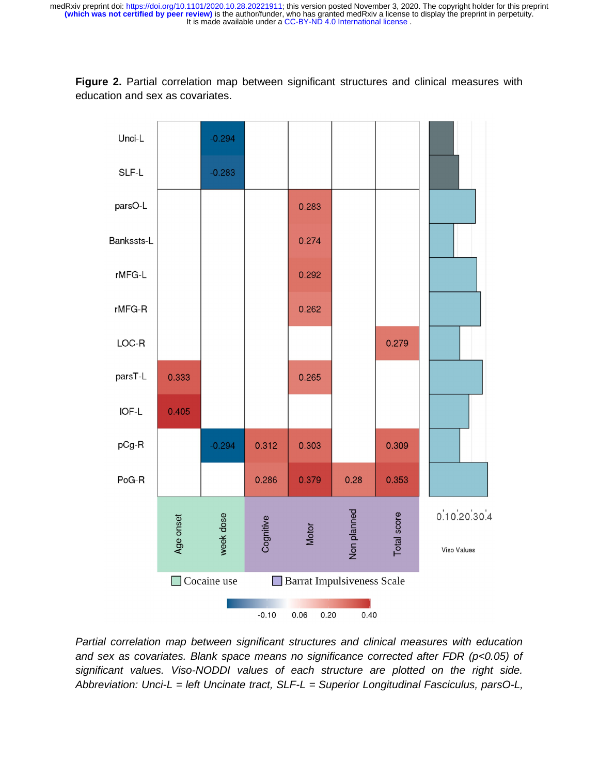**Figure 2.** Partial correlation map between significant structures and clinical measures with education and sex as covariates.



*Partial correlation map between significant structures and clinical measures with education and sex as covariates. Blank space means no significance corrected after FDR (p<0.05) of significant values. Viso-NODDI values of each structure are plotted on the right side. Abbreviation: Unci-L = left Uncinate tract, SLF-L = Superior Longitudinal Fasciculus, parsO-L,*